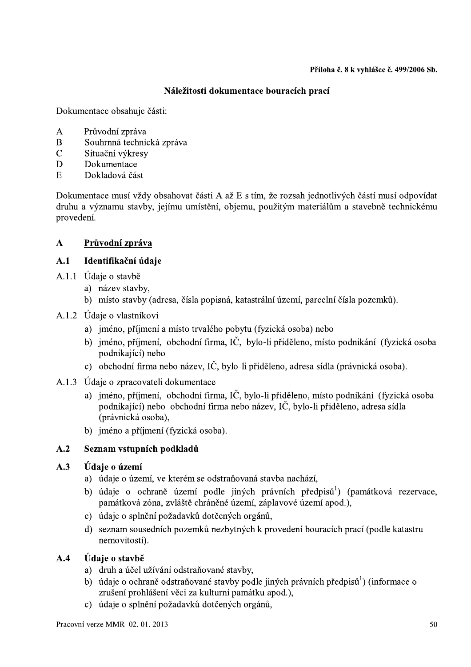# Náležitosti dokumentace bouracích prací

Dokumentace obsahuje části:

- $\overline{A}$ Průvodní zpráva
- B Souhrnná technická zpráva
- $\overline{C}$ Situační výkresy
- D Dokumentace
- $E$ Dokladová část

Dokumentace musí vždy obsahovat části A až E s tím, že rozsah jednotlivých částí musí odpovídat druhu a významu stavby, jejímu umístění, objemu, použitým materiálům a stavebně technickému provedení.

# Průvodní zpráva  $\mathbf{A}$

#### $A.1$ Identifikační údaje

- A.1.1 Údaje o stavbě
	- a) název stavby,
	- b) místo stavby (adresa, čísla popisná, katastrální území, parcelní čísla pozemků).
- A.1.2 Udaje o vlastníkovi
	- a) jméno, příjmení a místo trvalého pobytu (fyzická osoba) nebo
	- b) jméno, příjmení, obchodní firma, IČ, bylo-li přiděleno, místo podnikání (fyzická osoba podnikající) nebo
	- c) obchodní firma nebo název, IČ, bylo-li přiděleno, adresa sídla (právnická osoba).
- A.1.3 Údaje o zpracovateli dokumentace
	- a) iméno, příjmení, obchodní firma, IČ, bylo-li přiděleno, místo podnikání (fyzická osoba podnikající) nebo obchodní firma nebo název. IČ, bylo-li přiděleno, adresa sídla (právnická osoba),
	- b) iméno a příjmení (fyzická osoba).

#### $A.2$ Seznam vstupních podkladů

#### $A.3$ Údaje o území

- a) údaje o území, ve kterém se odstraňovaná stavba nachází,
- b) údaje o ochraně území podle jiných právních předpisů<sup>1</sup>) (památková rezervace, památková zóna, zvláště chráněné území, záplavové území apod.),
- c) údaje o splnění požadavků dotčených orgánů,
- d) seznam sousedních pozemků nezbytných k provedení bouracích prací (podle katastru nemovitostí).

#### $A.4$ Údaje o stavbě

- a) druh a účel užívání odstraňované stavby,
- b) údaje o ochraně odstraňované stavby podle jiných právních předpisů<sup>1</sup>) (informace o zrušení prohlášení věci za kulturní památku apod.),
- c) údaje o splnění požadavků dotčených orgánů.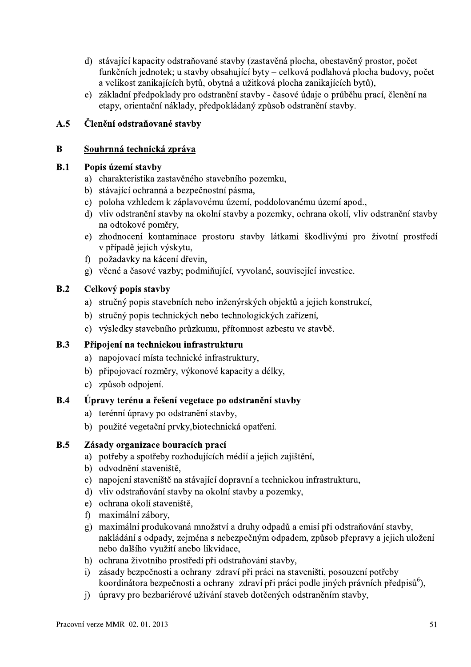- d) stávající kapacity odstraňované stavby (zastavěná plocha, obestavěný prostor, počet funkčních jednotek; u stavby obsahující byty – celková podlahová plocha budovy, počet a velikost zanikajících bytů, obytná a užitková plocha zanikajících bytů),
- e) základní předpoklady pro odstranění stavby časové údaje o průběhu prací, členění na etapy, orientační náklady, předpokládaný způsob odstranění stavby.

# $A.5$ Členění odstraňované stavby

#### $\mathbf{B}$ Souhrnná technická zpráva

#### $B.1$ Popis území stavby

- a) charakteristika zastavěného stavebního pozemku,
- b) stávající ochranná a bezpečnostní pásma,
- c) poloha vzhledem k záplavovému území, poddolovanému území apod.,
- d) vliv odstranění stavby na okolní stavby a pozemky, ochrana okolí, vliv odstranění stavby na odtokové poměry,
- e) zhodnocení kontaminace prostoru stavby látkami škodlivými pro životní prostředí v případě jejich výskytu,
- f) požadavky na kácení dřevin,
- g) věcné a časové vazby; podmiňující, vyvolané, související investice.

#### $B.2$ Celkový popis stavby

- a) stručný popis stavebních nebo inženýrských objektů a jejich konstrukcí,
- b) stručný popis technických nebo technologických zařízení,
- c) výsledky stavebního průzkumu, přítomnost azbestu ve stavbě.

#### $B.3$ Připojení na technickou infrastrukturu

- a) napojovací místa technické infrastruktury,
- b) připojovací rozměry, výkonové kapacity a délky,
- c) způsob odpojení.

#### $B.4$ Úpravy terénu a řešení vegetace po odstranění stavby

- a) terénní úpravy po odstranění stavby,
- b) použité vegetační prvky, biotechnická opatření.

#### $B.5$ Zásady organizace bouracích prací

- a) potřeby a spotřeby rozhodujících médií a jejich zajištění,
- b) odvodnění staveniště.
- c) napojení staveniště na stávající dopravní a technickou infrastrukturu,
- d) vliv odstraňování stavby na okolní stavby a pozemky,
- e) ochrana okolí staveniště,
- f) maximální zábory,
- g) maximální produkovaná množství a druhy odpadů a emisí při odstraňování stavby, nakládání s odpady, zejména s nebezpečným odpadem, způsob přepravy a jejich uložení nebo dalšího využití anebo likvidace,
- h) ochrana životního prostředí při odstraňování stavby.
- zásady bezpečnosti a ochrany zdraví při práci na staveništi, posouzení potřeby  $i$ koordinátora bezpečnosti a ochrany zdraví při práci podle jiných právních předpisů<sup>6</sup>),
- i) úpravy pro bezbariérové užívání staveb dotčených odstraněním stavby.